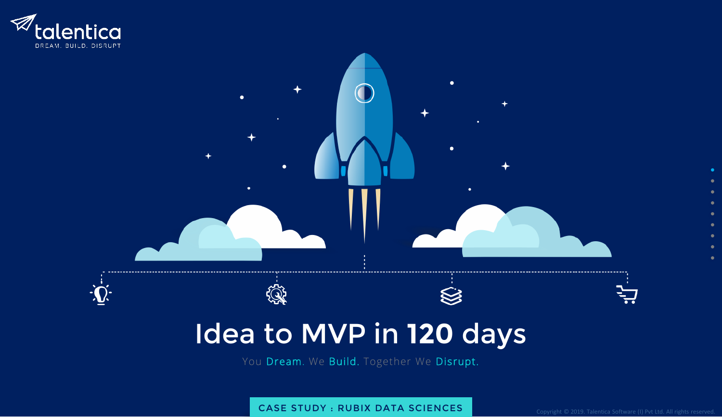

# Idea to MVP in **120** days

٠

 $\bullet$ 

You Dream. We Build. Together We Disrupt.

CASE STUDY : RUBIX DATA SCIENCES Copyright © 2019. Talentica Software (I) Pvt Ltd. All rights reserved.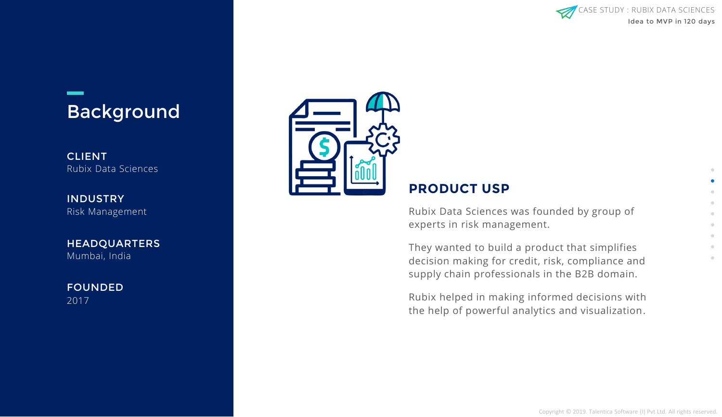

### Background

**CLIENT** Rubix Data Sciences

INDUSTRY Risk Management

**HEADQUARTERS** Mumbai, India

FOUNDED 2017



### **PRODUCT USP**

Rubix Data Sciences was founded by group of experts in risk management.

They wanted to build a product that simplifies decision making for credit, risk, compliance and supply chain professionals in the B2B domain.

Rubix helped in making informed decisions with the help of powerful analytics and visualization.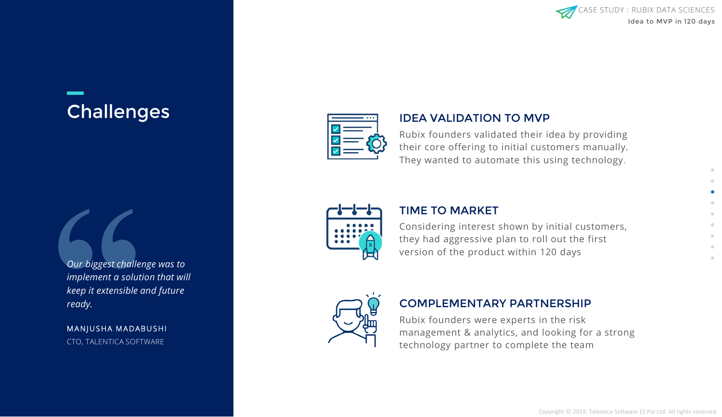

## **Challenges**

**Our biggest challer**<br> **"** implement a solution<br> **"** keep it extensible coready.<br>
MANJUSHA MADAE<br>
CTO, TALENTICA SOFT *Our biggest challenge was to implement a solution that will keep it extensible and future ready.*

MANJUSHA MADABUSHI CTO, TALENTICA SOFTWARE



#### IDEA VALIDATION TO MVP

Rubix founders validated their idea by providing their core offering to initial customers manually. They wanted to automate this using technology.



#### TIME TO MARKET

Considering interest shown by initial customers, they had aggressive plan to roll out the first version of the product within 120 days



### COMPLEMENTARY PARTNERSHIP

Rubix founders were experts in the risk management & analytics, and looking for a strong technology partner to complete the team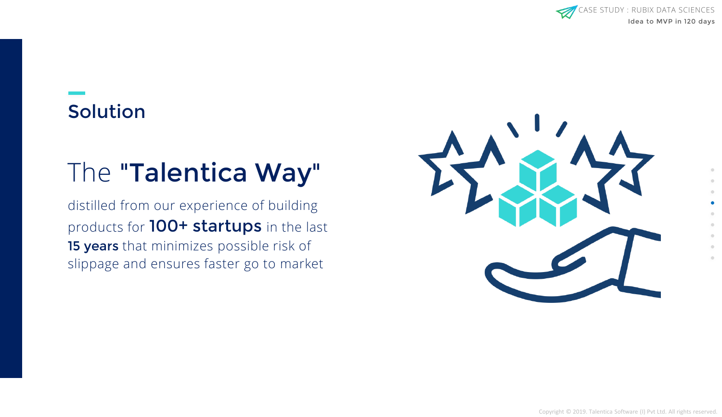

## Solution

# The "Talentica Way"

distilled from our experience of building products for 100+ startups in the last 15 years that minimizes possible risk of slippage and ensures faster go to market

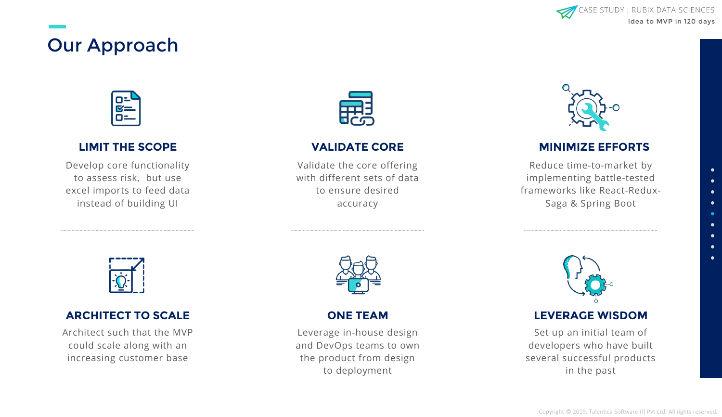## Our Approach



#### **LIMIT THE SCOPE**

Develop core functionality to assess risk, but use excel imports to feed data instead of building UI



#### **VALIDATE CORE**

Validate the core offering with different sets of data to ensure desired accuracy



#### **MINIMIZE EFFORTS**

Reduce time-to-market by implementing battle-tested frameworks like React-Redux-Saga & Spring Boot



#### **ARCHITECT TO SCALE**

Architect such that the MVP could scale along with an increasing customer base



**ONE TEAM**

Leverage in-house design and DevOps teams to own the product from design to deployment



#### **LEVERAGE WISDOM**

Set up an initial team of developers who have built several successful products in the past

Idea to MVP in 120 days

**SE STUDY : RUBIX DATA SCIENCES** 

 $\bullet$  $\bullet$  $\bullet$  $\bullet$  $\bullet$  $\bullet$  $\bullet$  $\bullet$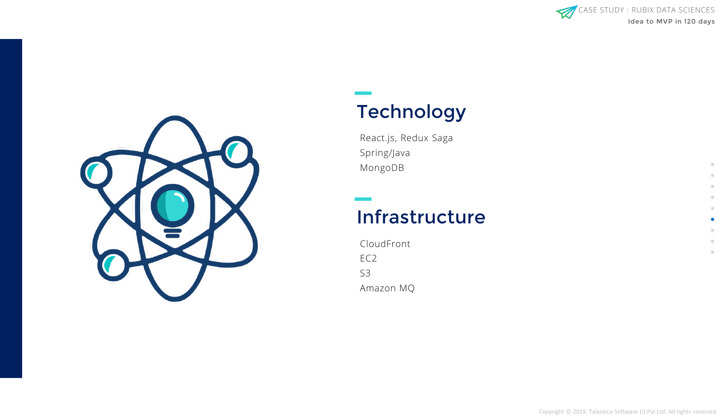

 $\bullet$ 

 $\bullet$  $\circ$  $\hfill \Box$ 



### **Technology**

React.js, Redux Saga Spring/Java MongoDB

### Infrastructure

CloudFront EC2 S3 Amazon MQ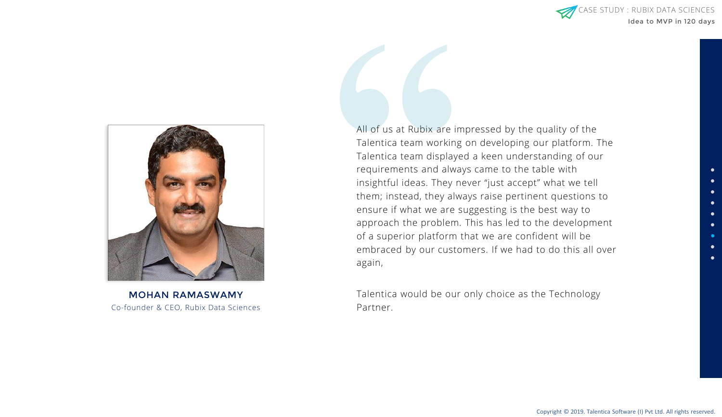

Co-founder & CEO, Rubix Data Sciences MOHAN RAMASWAMY

All of us at Rubix are impressed by the quality of the Talentica team working on developing our platform. The Talentica team displayed a keen understanding of our requirements and always came to the table with insightful ideas. They never "just accept" what we tell them; instead, they always raise pertinent questions to ensure if what we are suggesting is the best way to approach the problem. This has led to the development of a superior platform that we are confident will be embraced by our customers. If we had to do this all over again,

Talentica would be our only choice as the Technology Partner.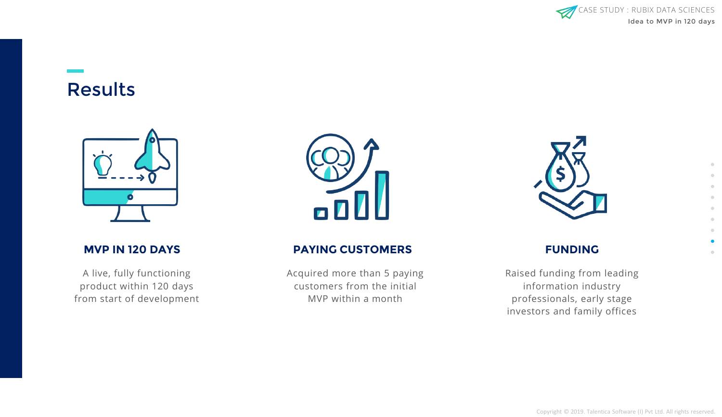

### Results



A live, fully functioning product within 120 days from start of development



#### **MVP IN 120 DAYS PAYING CUSTOMERS**

Acquired more than 5 paying customers from the initial MVP within a month



#### **FUNDING**

Raised funding from leading information industry professionals, early stage investors and family offices

 $\bullet$